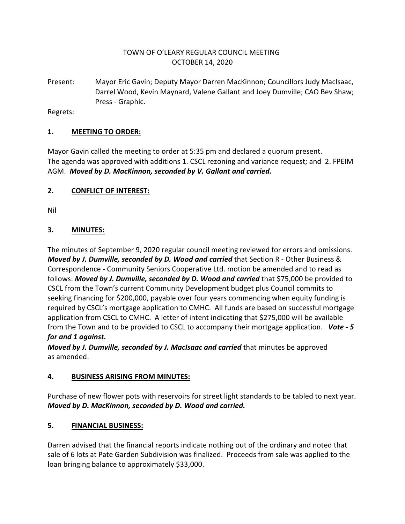## TOWN OF O'LEARY REGULAR COUNCIL MEETING OCTOBER 14, 2020

Present: Mayor Eric Gavin; Deputy Mayor Darren MacKinnon; Councillors Judy MacIsaac, Darrel Wood, Kevin Maynard, Valene Gallant and Joey Dumville; CAO Bev Shaw; Press - Graphic.

Regrets:

#### **1. MEETING TO ORDER:**

Mayor Gavin called the meeting to order at 5:35 pm and declared a quorum present. The agenda was approved with additions 1. CSCL rezoning and variance request; and 2. FPEIM AGM. *Moved by D. MacKinnon, seconded by V. Gallant and carried.*

#### **2. CONFLICT OF INTEREST:**

Nil

#### **3. MINUTES:**

The minutes of September 9, 2020 regular council meeting reviewed for errors and omissions. *Moved by J. Dumville, seconded by D. Wood and carried* that Section R - Other Business & Correspondence - Community Seniors Cooperative Ltd. motion be amended and to read as follows: *Moved by J. Dumville, seconded by D. Wood and carried* that \$75,000 be provided to CSCL from the Town's current Community Development budget plus Council commits to seeking financing for \$200,000, payable over four years commencing when equity funding is required by CSCL's mortgage application to CMHC. All funds are based on successful mortgage application from CSCL to CMHC. A letter of intent indicating that \$275,000 will be available from the Town and to be provided to CSCL to accompany their mortgage application. *Vote - 5 for and 1 against.*

*Moved by J. Dumville, seconded by J. MacIsaac and carried* that minutes be approved as amended.

#### **4. BUSINESS ARISING FROM MINUTES:**

Purchase of new flower pots with reservoirs for street light standards to be tabled to next year. *Moved by D. MacKinnon, seconded by D. Wood and carried.*

#### **5. FINANCIAL BUSINESS:**

Darren advised that the financial reports indicate nothing out of the ordinary and noted that sale of 6 lots at Pate Garden Subdivision was finalized. Proceeds from sale was applied to the loan bringing balance to approximately \$33,000.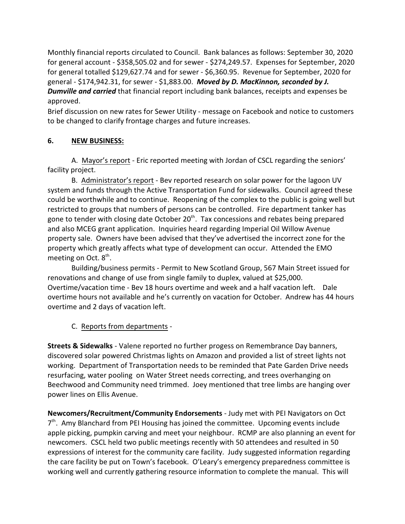Monthly financial reports circulated to Council. Bank balances as follows: September 30, 2020 for general account - \$358,505.02 and for sewer - \$274,249.57. Expenses for September, 2020 for general totalled \$129,627.74 and for sewer - \$6,360.95. Revenue for September, 2020 for general - \$174,942.31, for sewer - \$1,883.00. *Moved by D. MacKinnon, seconded by J. Dumville and carried* that financial report including bank balances, receipts and expenses be approved.

Brief discussion on new rates for Sewer Utility - message on Facebook and notice to customers to be changed to clarify frontage charges and future increases.

#### **6. NEW BUSINESS:**

A. Mayor's report - Eric reported meeting with Jordan of CSCL regarding the seniors' facility project.

B. Administrator's report - Bev reported research on solar power for the lagoon UV system and funds through the Active Transportation Fund for sidewalks. Council agreed these could be worthwhile and to continue. Reopening of the complex to the public is going well but restricted to groups that numbers of persons can be controlled. Fire department tanker has gone to tender with closing date October 20<sup>th</sup>. Tax concessions and rebates being prepared and also MCEG grant application. Inquiries heard regarding Imperial Oil Willow Avenue property sale. Owners have been advised that they've advertised the incorrect zone for the property which greatly affects what type of development can occur. Attended the EMO meeting on Oct. 8<sup>th</sup>.

Building/business permits - Permit to New Scotland Group, 567 Main Street issued for renovations and change of use from single family to duplex, valued at \$25,000. Overtime/vacation time - Bev 18 hours overtime and week and a half vacation left. Dale overtime hours not available and he's currently on vacation for October. Andrew has 44 hours overtime and 2 days of vacation left.

# C. Reports from departments -

**Streets & Sidewalks** - Valene reported no further progess on Remembrance Day banners, discovered solar powered Christmas lights on Amazon and provided a list of street lights not working. Department of Transportation needs to be reminded that Pate Garden Drive needs resurfacing, water pooling on Water Street needs correcting, and trees overhanging on Beechwood and Community need trimmed. Joey mentioned that tree limbs are hanging over power lines on Ellis Avenue.

**Newcomers/Recruitment/Community Endorsements** - Judy met with PEI Navigators on Oct 7<sup>th</sup>. Amy Blanchard from PEI Housing has joined the committee. Upcoming events include apple picking, pumpkin carving and meet your neighbour. RCMP are also planning an event for newcomers. CSCL held two public meetings recently with 50 attendees and resulted in 50 expressions of interest for the community care facility. Judy suggested information regarding the care facility be put on Town's facebook. O'Leary's emergency preparedness committee is working well and currently gathering resource information to complete the manual. This will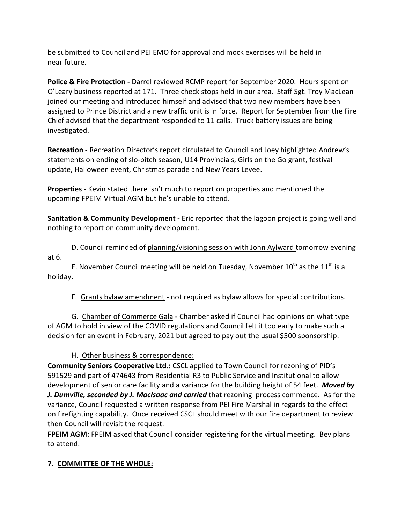be submitted to Council and PEI EMO for approval and mock exercises will be held in near future.

**Police & Fire Protection - Darrel reviewed RCMP report for September 2020. Hours spent on** O'Leary business reported at 171. Three check stops held in our area. Staff Sgt. Troy MacLean joined our meeting and introduced himself and advised that two new members have been assigned to Prince District and a new traffic unit is in force. Report for September from the Fire Chief advised that the department responded to 11 calls. Truck battery issues are being investigated.

**Recreation -** Recreation Director's report circulated to Council and Joey highlighted Andrew's statements on ending of slo-pitch season, U14 Provincials, Girls on the Go grant, festival update, Halloween event, Christmas parade and New Years Levee.

**Properties** - Kevin stated there isn't much to report on properties and mentioned the upcoming FPEIM Virtual AGM but he's unable to attend.

**Sanitation & Community Development -** Eric reported that the lagoon project is going well and nothing to report on community development.

D. Council reminded of planning/visioning session with John Aylward tomorrow evening at 6.

E. November Council meeting will be held on Tuesday, November  $10^{\text{th}}$  as the  $11^{\text{th}}$  is a holiday.

F. Grants bylaw amendment - not required as bylaw allows for special contributions.

G. Chamber of Commerce Gala - Chamber asked if Council had opinions on what type of AGM to hold in view of the COVID regulations and Council felt it too early to make such a decision for an event in February, 2021 but agreed to pay out the usual \$500 sponsorship.

H. Other business & correspondence:

**Community Seniors Cooperative Ltd.:** CSCL applied to Town Council for rezoning of PID's 591529 and part of 474643 from Residential R3 to Public Service and Institutional to allow development of senior care facility and a variance for the building height of 54 feet. *Moved by J. Dumville, seconded by J. MacIsaac and carried* that rezoning process commence. As for the variance, Council requested a written response from PEI Fire Marshal in regards to the effect on firefighting capability. Once received CSCL should meet with our fire department to review then Council will revisit the request.

**FPEIM AGM:** FPEIM asked that Council consider registering for the virtual meeting. Bev plans to attend.

# **7. COMMITTEE OF THE WHOLE:**